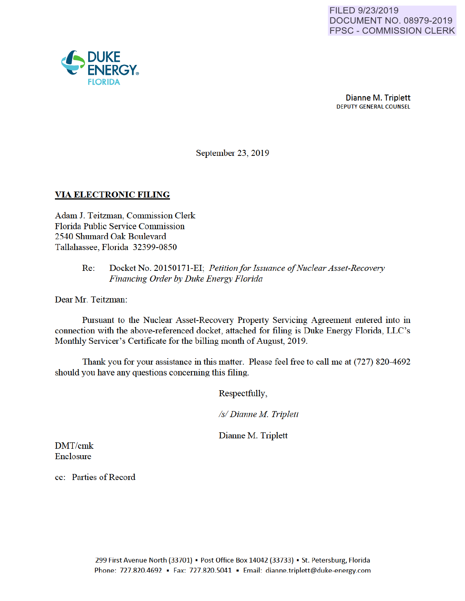

September 23, 2019

# VIA ELECTRONIC FILING

Adam J. Teitzman, Commission Clerk Florida Public Service Commission 2540 Shumard Oak Boulevard Tallahassee, Florida 32399-0850

## Re: Docket No. 20150171-EI; *Petition for Issuance of Nuclear Asset-Recovery Financing Order by Duke Energy Florida*

Dear Mr. Teitzman:

Pursuant to the Nuclear Asset-Recovery Property Servicing Agreement entered into in connection with the above-referenced docket, attached for filing is Duke Energy Florida, LLC's Monthly Servicer's Certificate for the billing month of August, 2019.

Thank you for your assistance in this matter. Please feel free to call me at (727) 820-4692 should you have any questions conceming this filing.

Respectfully,

*Is/ Dianne M Triplett* 

Dianne M. Triplett

DMT/cmk Enclosure

cc: Parties of Record

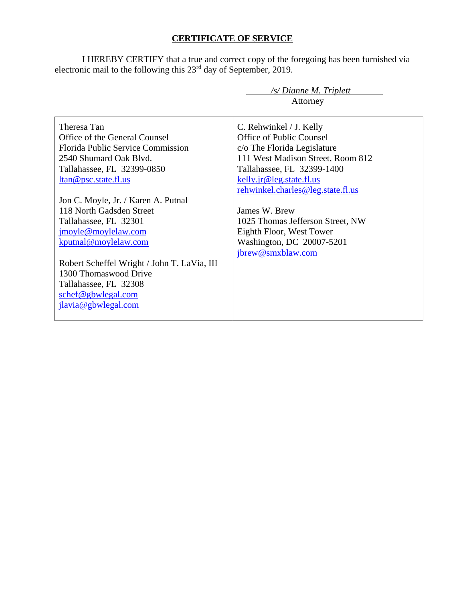# **CERTIFICATE OF SERVICE**

I HEREBY CERTIFY that a true and correct copy of the foregoing has been furnished via electronic mail to the following this  $23<sup>rd</sup>$  day of September, 2019.

|                                             | /s/ Dianne M. Triplett            |  |
|---------------------------------------------|-----------------------------------|--|
|                                             | Attorney                          |  |
|                                             |                                   |  |
| Theresa Tan                                 | C. Rehwinkel / J. Kelly           |  |
| Office of the General Counsel               | Office of Public Counsel          |  |
| <b>Florida Public Service Commission</b>    | c/o The Florida Legislature       |  |
| 2540 Shumard Oak Blyd.                      | 111 West Madison Street, Room 812 |  |
| Tallahassee, FL 32399-0850                  | Tallahassee, FL 32399-1400        |  |
| <u>ltan@psc.state.fl.us</u>                 | kelly.jr@leg.state.fl.us          |  |
|                                             | rehwinkel.charles@leg.state.fl.us |  |
| Jon C. Moyle, Jr. / Karen A. Putnal         |                                   |  |
| 118 North Gadsden Street                    | James W. Brew                     |  |
| Tallahassee, FL 32301                       | 1025 Thomas Jefferson Street, NW  |  |
| jmoyle@moylelaw.com                         | Eighth Floor, West Tower          |  |
| kputnal@moylelaw.com                        | Washington, DC 20007-5201         |  |
|                                             | jbrew@smxblaw.com                 |  |
| Robert Scheffel Wright / John T. LaVia, III |                                   |  |
| 1300 Thomaswood Drive                       |                                   |  |
| Tallahassee, FL 32308                       |                                   |  |
| schef@gbwlegal.com                          |                                   |  |
| jlavia@gbwlegal.com                         |                                   |  |
|                                             |                                   |  |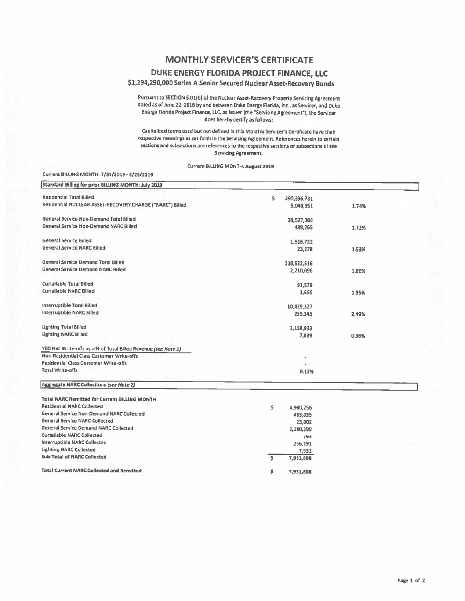# **MONTHLY SERVICER'S CERTIFICATE**

#### DUKE ENERGY FLORIDA PROJECT FINANCE, LLC

### \$1,294,290,000 Series A Senior Secured Nuclear Asset-Recovery Bonds

Pursuant to SECTION 3.01(b) of the Nuclear Asset-Recovery Property Servicing Agreement dated as of June 22, 2016 by and between Duke Energy Florida, Inc., as Servicer, and Duke Energy Florida Project Finance, LLC, as Issuer (the "Servicing Agreement"), the Servicer does hereby certify as follows:

Capitalized terms used but not defined in this Monthly Servicer's Certificate have their respective meanings as set forth in the Servicing Agreement. References herein to certain sections and subsections are references to the respective sections or subsections of the Servicing Agreement.

Current BILLING MONTH: August 2019

| Standard Billing for prior BILLING MONTH: July 2019            |                   |       |
|----------------------------------------------------------------|-------------------|-------|
| <b>Residential Total Billed</b>                                | \$<br>290,336,731 |       |
| Residential NUCLEAR ASSET-RECOVERY CHARGE ("NARC") Billed      | 5,048,351         | 1.74% |
| General Service Non-Demand Total Billed                        | 28,527,386        |       |
| General Service Non-Demand NARC Billed                         | 489,265           | 1.72% |
| <b>General Service Billed</b>                                  | 1,516,732         |       |
| General Service NARC Billed                                    | 23,278            | 1.53% |
| <b>General Service Demand Total Billed</b>                     | 118,522,516       |       |
| <b>General Service Demand NARC Billed</b>                      | 2,210,096         | 1.86% |
| Curtailable Total Billed                                       | 91,579            |       |
| Curtallable NARC Billed                                        | 1,695             | 1.85% |
| Interruptible Total Billed                                     | 10,429,327        |       |
| <b>Interruptible NARC Billed</b>                               | 259,345           | 2.49% |
| <b>Lighting Total Billed</b>                                   | 2,158,933         |       |
| <b>Lighting NARC Billed</b>                                    | 7,839             | 0.36% |
| YTD Net Write-offs as a % of Total Billed Revenue (see Note 1) |                   |       |
| Non-Residential Class Customer Write-offs                      |                   |       |
| Residential Class Customer Write-offs                          |                   |       |
| Total Write-offs                                               | 0.17%             |       |
| <b>Aggregate NARC Collections (see Note 2)</b>                 |                   |       |
| <b>Total NARC Remitted for Current BILLING MONTH</b>           |                   |       |
| <b>Residential NARC Collected</b>                              | \$<br>4,980,256   |       |
| General Service Non-Demand NARC Collected                      | 483,035           |       |
| <b>General Service NARC Collected</b>                          | 23,002            |       |
| <b>General Service Demand NARC Collected</b>                   | 2,180,399         |       |
| <b>Curtailable NARC Collected</b>                              | 793               |       |
| Interruptible NARC Collected                                   | 256,191           |       |

7,932

7,931,608

7,931,608

 $\overline{\mathsf{s}}$ 

\$

#### **Total Current NARC Collected and Remitted**

**Lighting NARC Collected** 

**Sub-Total of NARC Collected** 

Current BILUNG MONTH: 7/31/2019 - 8/28/2019